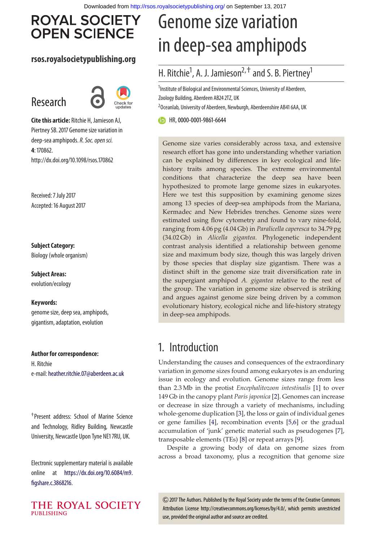# **ROYAL SOCIETY OPEN SCIENCE**

#### **rsos.royalsocietypublishing.org**

# Research



**Cite this article:** Ritchie H, Jamieson AJ, Piertney SB. 2017 Genome size variation in deep-sea amphipods.*R. Soc. open sci.* **4**: 170862. http://dx.doi.org/10.1098/rsos.170862

Received: 7 July 2017 Accepted: 16 August 2017

**Subject Category:** Biology (whole organism)

**Subject Areas:** evolution/ecology

#### **Keywords:**

genome size, deep sea, amphipods, gigantism, adaptation, evolution

**Author for correspondence:** H. Ritchie e-mail: [heather.ritchie.07@aberdeen.ac.uk](mailto:heather.ritchie.07@aberdeen.ac.uk)

†Present address: School of Marine Science and Technology, Ridley Building, Newcastle University, Newcastle Upon Tyne NE1 7RU, UK.

Electronic supplementary material is available online at [https://dx.doi.org/10.6084/m9.](https://dx.doi.org/10.6084/m9.figshare.c.3868216) [figshare.c.3868216.](https://dx.doi.org/10.6084/m9.figshare.c.3868216)



# Genome size variation in deep-sea amphipods

### H. Ritchie<sup>1</sup>, A. J. Jamieson<sup>2, †</sup> and S. B. Piertney<sup>1</sup>

<sup>1</sup>Institute of Biological and Environmental Sciences, University of Aberdeen, Zoology Building, Aberdeen AB24 2TZ, UK  $^{2}$ Oceanlab, University of Aberdeen, Newburgh, Aberdeenshire AB41 6AA, UK

HR,[0000-0001-9861-6644](http://orcid.org/0000-0001-9861-6644)

Genome size varies considerably across taxa, and extensive research effort has gone into understanding whether variation can be explained by differences in key ecological and lifehistory traits among species. The extreme environmental conditions that characterize the deep sea have been hypothesized to promote large genome sizes in eukaryotes. Here we test this supposition by examining genome sizes among 13 species of deep-sea amphipods from the Mariana, Kermadec and New Hebrides trenches. Genome sizes were estimated using flow cytometry and found to vary nine-fold, ranging from 4.06 pg (4.04 Gb) in *Paralicella caperesca* to 34.79 pg (34.02 Gb) in *Alicella gigantea*. Phylogenetic independent contrast analysis identified a relationship between genome size and maximum body size, though this was largely driven by those species that display size gigantism. There was a distinct shift in the genome size trait diversification rate in the supergiant amphipod *A. gigantea* relative to the rest of the group. The variation in genome size observed is striking and argues against genome size being driven by a common evolutionary history, ecological niche and life-history strategy in deep-sea amphipods.

### 1. Introduction

Understanding the causes and consequences of the extraordinary variation in genome sizes found among eukaryotes is an enduring issue in ecology and evolution. Genome sizes range from less than 2.3 Mb in the protist *Encephalitozoon intestinalis* [\[1\]](#page-7-0) to over 149 Gb in the canopy plant *Paris japonica* [\[2\]](#page-7-1). Genomes can increase or decrease in size through a variety of mechanisms, including whole-genome duplication [\[3\]](#page-7-2), the loss or gain of individual genes or gene families [\[4\]](#page-7-3), recombination events [\[5](#page-7-4)[,6\]](#page-7-5) or the gradual accumulation of 'junk' genetic material such as pseudogenes [\[7\]](#page-7-6), transposable elements (TEs) [\[8\]](#page-7-7) or repeat arrays [\[9\]](#page-7-8).

Despite a growing body of data on genome sizes from across a broad taxonomy, plus a recognition that genome size

2017 The Authors. Published by the Royal Society under the terms of the Creative Commons Attribution License http://creativecommons.org/licenses/by/4.0/, which permits unrestricted use, provided the original author and source are credited.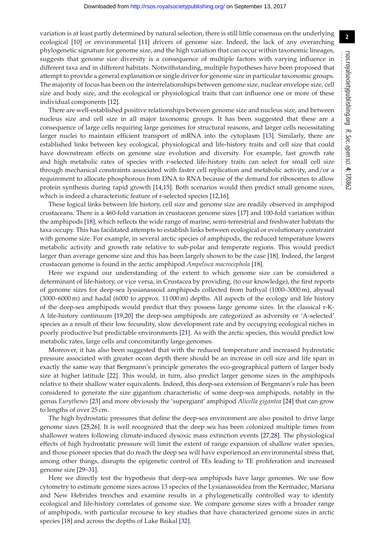**2**

variation is at least partly determined by natural selection, there is still little consensus on the underlying ecological [\[10\]](#page-7-9) or environmental [\[11\]](#page-7-10) drivers of genome size. Indeed, the lack of any overarching phylogenetic signature for genome size, and the high variation that can occur within taxonomic lineages, suggests that genome size diversity is a consequence of multiple factors with varying influence in different taxa and in different habitats. Notwithstanding, multiple hypotheses have been proposed that attempt to provide a general explanation or single driver for genome size in particular taxonomic groups. The majority of focus has been on the interrelationships between genome size, nuclear envelope size, cell size and body size, and the ecological or physiological traits that can influence one or more of these individual components [\[12\]](#page-7-11).

There are well-established positive relationships between genome size and nucleus size, and between nucleus size and cell size in all major taxonomic groups. It has been suggested that these are a consequence of large cells requiring large genomes for structural reasons, and larger cells necessitating larger nuclei to maintain efficient transport of mRNA into the cytoplasm [\[13\]](#page-8-0). Similarly, there are established links between key ecological, physiological and life-history traits and cell size that could have downstream effects on genome size evolution and diversity. For example, fast growth rate and high metabolic rates of species with r-selected life-history traits can select for small cell size through mechanical constraints associated with faster cell replication and metabolic activity, and/or a requirement to allocate phosphorous from DNA to RNA because of the demand for ribosomes to allow protein synthesis during rapid growth [\[14,](#page-8-1)[15\]](#page-8-2). Both scenarios would then predict small genome sizes, which is indeed a characteristic feature of r-selected species [\[12](#page-7-11)[,16\]](#page-8-3).

These logical links between life history, cell size and genome size are readily observed in amphipod crustaceans. There is a 460-fold variation in crustacean genome sizes [\[17\]](#page-8-4) and 100-fold variation within the amphipods [\[18\]](#page-8-5), which reflects the wide range of marine, semi-terrestrial and freshwater habitats the taxa occupy. This has facilitated attempts to establish links between ecological or evolutionary constraint with genome size. For example, in several arctic species of amphipods, the reduced temperature lowers metabolic activity and growth rate relative to sub-polar and temperate regions. This would predict larger than average genome size and this has been largely shown to be the case [\[18\]](#page-8-5). Indeed, the largest crustacean genome is found in the arctic amphipod *Ampelisca macrocephola* [\[18\]](#page-8-5).

Here we expand our understanding of the extent to which genome size can be considered a determinant of life-history, or vice versa, in Crustacea by providing, (to our knowledge), the first reports of genome sizes for deep-sea lyssianassoid amphipods collected from bathyal (1000–3000 m), abyssal (3000–6000 m) and hadal (6000 to approx. 11 000 m) depths. All aspects of the ecology and life history of the deep-sea amphipods would predict that they possess large genome sizes. In the classical r-K-A life-history continuum [\[19,](#page-8-6)[20\]](#page-8-7) the deep-sea amphipods are categorized as adversity or 'A-selected' species as a result of their low fecundity, slow development rate and by occupying ecological niches in poorly productive but predictable environments [\[21\]](#page-8-8). As with the arctic species, this would predict low metabolic rates, large cells and concomitantly large genomes.

Moreover, it has also been suggested that with the reduced temperature and increased hydrostatic pressure associated with greater ocean depth there should be an increase in cell size and life span in exactly the same way that Bergmann's principle generates the eco-geographical pattern of larger body size at higher latitude [\[22\]](#page-8-9). This would, in turn, also predict larger genome sizes in the amphipods relative to their shallow water equivalents. Indeed, this deep-sea extension of Bergmann's rule has been considered to generate the size gigantism characteristic of some deep-sea amphipods, notably in the genus *Eurythenes* [\[23\]](#page-8-10) and more obviously the 'supergiant' amphipod *Alicella gigantea* [\[24\]](#page-8-11) that can grow to lengths of over 25 cm.

The high hydrostatic pressures that define the deep-sea environment are also posited to drive large genome sizes [\[25](#page-8-12)[,26\]](#page-8-13). It is well recognized that the deep sea has been colonized multiple times from shallower waters following climate-induced dysoxic mass extinction events [\[27](#page-8-14)[,28\]](#page-8-15). The physiological effects of high hydrostatic pressure will limit the extent of range expansion of shallow water species, and those pioneer species that do reach the deep sea will have experienced an environmental stress that, among other things, disrupts the epigenetic control of TEs leading to TE proliferation and increased genome size [\[29–](#page-8-16)[31\]](#page-8-17).

Here we directly test the hypothesis that deep-sea amphipods have large genomes. We use flow cytometry to estimate genome sizes across 13 species of the Lysianassoidea from the Kermadec, Mariana and New Hebrides trenches and examine results in a phylogenetically controlled way to identify ecological and life-history correlates of genome size. We compare genome sizes with a broader range of amphipods, with particular recourse to key studies that have characterized genome sizes in arctic species [\[18\]](#page-8-5) and across the depths of Lake Baikal [\[32\]](#page-8-18).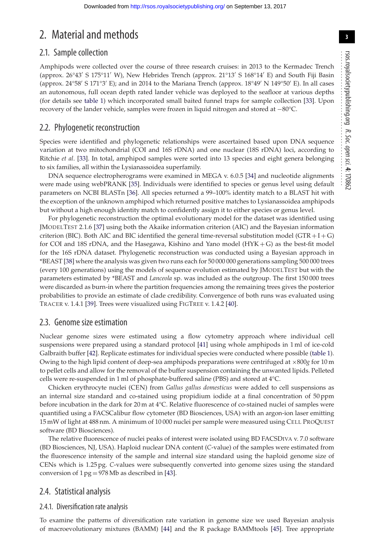## 2. Material and methods

#### 2.1. Sample collection

Amphipods were collected over the course of three research cruises: in 2013 to the Kermadec Trench (approx. 26°43' S 175°11' W), New Hebrides Trench (approx. 21°13' S 168°14' E) and South Fiji Basin (approx. 24°58′ S 171°3′ E); and in 2014 to the Mariana Trench (approx. 18°49′ N 149°50′ E). In all cases an autonomous, full ocean depth rated lander vehicle was deployed to the seafloor at various depths (for details see [table 1\)](#page-3-0) which incorporated small baited funnel traps for sample collection [\[33\]](#page-8-19). Upon recovery of the lander vehicle, samples were frozen in liquid nitrogen and stored at −80°C.

#### 2.2. Phylogenetic reconstruction

Species were identified and phylogenetic relationships were ascertained based upon DNA sequence variation at two mitochondrial (COI and 16S rDNA) and one nuclear (18S rDNA) loci, according to Ritchie *et al*. [\[33\]](#page-8-19). In total, amphipod samples were sorted into 13 species and eight genera belonging to six families, all within the Lysianassoidea superfamily.

DNA sequence electropherograms were examined in MEGA v. 6.0.5 [\[34\]](#page-8-20) and nucleotide alignments were made using webPRANK [\[35\]](#page-8-21). Individuals were identified to species or genus level using default parameters on NCBI BLASTn [\[36\]](#page-8-22). All species returned a 99–100% identity match to a BLAST hit with the exception of the unknown amphipod which returned positive matches to Lysianassoidea amphipods but without a high enough identity match to confidently assign it to either species or genus level.

For phylogenetic reconstruction the optimal evolutionary model for the dataset was identified using JMODELTEST 2.1.6 [\[37\]](#page-8-23) using both the Akaike information criterion (AIC) and the Bayesian information criterion (BIC). Both AIC and BIC identified the general time-reversal substitution model ( $GTR + I + G$ ) for COI and 18S rDNA, and the Hasegawa, Kishino and Yano model (HYK + G) as the best-fit model for the 16S rDNA dataset. Phylogenetic reconstruction was conducted using a Bayesian approach in \*BEAST [\[38\]](#page-8-24) where the analysis was given two runs each for 50 000 000 generations sampling 500 000 trees (every 100 generations) using the models of sequence evolution estimated by JMODELTEST but with the parameters estimated by \*BEAST and *Lanceola* sp. was included as the outgroup. The first 150 000 trees were discarded as burn-in where the partition frequencies among the remaining trees gives the posterior probabilities to provide an estimate of clade credibility. Convergence of both runs was evaluated using TRACER v. 1.4.1 [\[39\]](#page-8-25). Trees were visualized using FIGTREE v. 1.4.2 [\[40\]](#page-8-26).

#### 2.3. Genome size estimation

Nuclear genome sizes were estimated using a flow cytometry approach where individual cell suspensions were prepared using a standard protocol [\[41\]](#page-8-27) using whole amphipods in 1 ml of ice-cold Galbraith buffer [\[42\]](#page-8-28). Replicate estimates for individual species were conducted where possible [\(table 1\)](#page-3-0). Owing to the high lipid content of deep-sea amphipods preparations were centrifuged at ×800*g* for 10 m to pellet cells and allow for the removal of the buffer suspension containing the unwanted lipids. Pelleted cells were re-suspended in 1 ml of phosphate-buffered saline (PBS) and stored at 4°C.

Chicken erythrocyte nuclei (CEN) from *Gallus gallus domesticus* were added to cell suspensions as an internal size standard and co-stained using propidium iodide at a final concentration of 50 ppm before incubation in the dark for 20 m at 4°C. Relative fluorescence of co-stained nuclei of samples were quantified using a FACSCalibur flow cytometer (BD Biosciences, USA) with an argon-ion laser emitting 15 mW of light at 488 nm. A minimum of 10 000 nuclei per sample were measured using CELL PROQUEST software (BD Biosciences).

The relative fluorescence of nuclei peaks of interest were isolated using BD FACSDIVA v. 7.0 software (BD Biosciences, NJ, USA). Haploid nuclear DNA content (*C*-value) of the samples were estimated from the fluorescence intensity of the sample and internal size standard using the haploid genome size of CENs which is 1.25 pg. *C*-values were subsequently converted into genome sizes using the standard conversion of  $1 \text{ pg} = 978 \text{ Mb}$  as described in [\[43\]](#page-8-29).

#### 2.4. Statistical analysis

#### 2.4.1. Diversification rate analysis

To examine the patterns of diversification rate variation in genome size we used Bayesian analysis of macroevolutionary mixtures (BAMM) [\[44\]](#page-8-30) and the R package BAMMtools [\[45\]](#page-8-31). Tree appropriate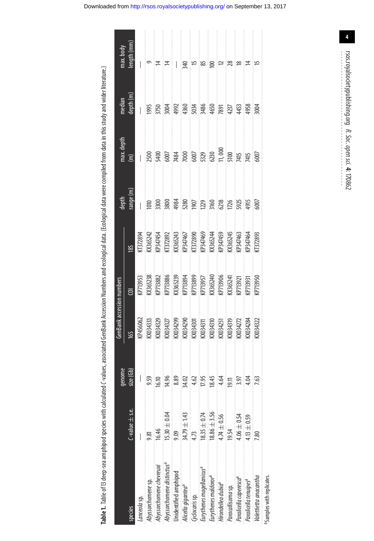Table 1. Table of 13 deep-sea amphipod species with calculated C-values, associated GenBank Accession Numbers and ecological data. (Ecological data were compiled from data in this study and wider literature.)

<span id="page-3-0"></span>

|                                        |                       | genome    | GenBank accession numbers                                                                                                                                                                                                                                                                                                                                           |                                                                                                           |                                                                                                                                                   | depth                                                                                                                                                   | nax. depth           | median     | max.body                                              |
|----------------------------------------|-----------------------|-----------|---------------------------------------------------------------------------------------------------------------------------------------------------------------------------------------------------------------------------------------------------------------------------------------------------------------------------------------------------------------------|-----------------------------------------------------------------------------------------------------------|---------------------------------------------------------------------------------------------------------------------------------------------------|---------------------------------------------------------------------------------------------------------------------------------------------------------|----------------------|------------|-------------------------------------------------------|
| species                                | $C$ -value $\pm$ s.e. | size (Gb) | 165                                                                                                                                                                                                                                                                                                                                                                 | ē                                                                                                         | 18S                                                                                                                                               | tange (m                                                                                                                                                | $\widehat{\epsilon}$ | depth (m)  | ength (mm                                             |
| anceola sp.                            |                       |           |                                                                                                                                                                                                                                                                                                                                                                     |                                                                                                           |                                                                                                                                                   |                                                                                                                                                         |                      |            |                                                       |
| Abyssorchomene sp.                     |                       | 9.59      |                                                                                                                                                                                                                                                                                                                                                                     |                                                                                                           |                                                                                                                                                   |                                                                                                                                                         |                      |            |                                                       |
| Abyssorchomene chevreuxi               | 16.46<br>ا            | 16.10     |                                                                                                                                                                                                                                                                                                                                                                     |                                                                                                           |                                                                                                                                                   |                                                                                                                                                         |                      |            | $\equiv$                                              |
| Abyssorchomene distinctus <sup>a</sup> | $5.30 \pm 0.04$       | 14.96     |                                                                                                                                                                                                                                                                                                                                                                     |                                                                                                           |                                                                                                                                                   |                                                                                                                                                         |                      |            | ∣≠                                                    |
| Unidentified amphipod                  | း<br>၁.09             | 8.89      |                                                                                                                                                                                                                                                                                                                                                                     |                                                                                                           |                                                                                                                                                   |                                                                                                                                                         |                      |            | Ħ                                                     |
| Alicella gigantea <sup>a</sup>         | $34.79 \pm 1.43$      | 84.02     | $\begin{array}{l} \textsf{KP}456062\\ \textsf{K0034333}\\ \textsf{K0034329}\\ \textsf{K003429}\\ \textsf{K003429}\\ \textsf{K003430}\\ \textsf{K003430}\\ \textsf{K003430}\\ \textsf{K003431}\\ \textsf{K003431}\\ \textsf{K003431}\\ \textsf{K003420}\\ \textsf{K003420}\\ \textsf{K003422}\\ \textsf{K003422}\\ \textsf{K003424}\\ \textsf{K003424}\\ \textsf{K0$ | KPT9953<br>KS65238<br>KPT3882<br>KPT3884<br>KPT3893<br>KPT3957<br>KPT3957<br>KPT3906<br>KPT3906<br>KPT397 | KI372894<br>KS65242<br>KS652434 (ST22800)<br>KS65243 (ST22800)<br>KS65244 (ST22800)<br>KS65244 (ST22800)<br>KS65244 (ST22800)<br>KS6524 (ST22800) | $\frac{100}{2000}$ $\frac{1000}{200}$ $\frac{1000}{200}$ $\frac{1000}{200}$ $\frac{1000}{200}$ $\frac{1000}{200}$ $\frac{1000}{200}$ $\frac{1000}{200}$ |                      |            | $\frac{1}{2}$ is a set of set of set of $\frac{1}{2}$ |
| Cyclocaris sp.                         | 4.73                  | 4.62      |                                                                                                                                                                                                                                                                                                                                                                     |                                                                                                           |                                                                                                                                                   |                                                                                                                                                         |                      |            |                                                       |
| Eurythenes magellanicus <sup>a</sup>   | $8.35 \pm 0.74$       | 17.95     |                                                                                                                                                                                                                                                                                                                                                                     |                                                                                                           |                                                                                                                                                   |                                                                                                                                                         |                      |            |                                                       |
| Eurythenes maldororª                   | $18.86 \pm 3.56$      | 18.45     |                                                                                                                                                                                                                                                                                                                                                                     |                                                                                                           |                                                                                                                                                   |                                                                                                                                                         |                      |            |                                                       |
| Hirondellea dubia <sup>a</sup>         | $.74 \pm 0.56$        | 4.64      |                                                                                                                                                                                                                                                                                                                                                                     |                                                                                                           |                                                                                                                                                   |                                                                                                                                                         |                      |            |                                                       |
| Paracallisoma sp.                      | 9.54                  | 19.11     |                                                                                                                                                                                                                                                                                                                                                                     |                                                                                                           |                                                                                                                                                   |                                                                                                                                                         |                      |            |                                                       |
| Paralicella caperesca <sup>a</sup>     | $-0.54$               |           |                                                                                                                                                                                                                                                                                                                                                                     |                                                                                                           |                                                                                                                                                   |                                                                                                                                                         |                      |            |                                                       |
| Paralicella tenuipes <sup>a</sup>      | $.13 \pm 0.59$        |           |                                                                                                                                                                                                                                                                                                                                                                     |                                                                                                           |                                                                                                                                                   |                                                                                                                                                         |                      |            | $\frac{1}{4}$                                         |
| Valettietta anacantha                  |                       |           |                                                                                                                                                                                                                                                                                                                                                                     | (P713950                                                                                                  |                                                                                                                                                   |                                                                                                                                                         |                      | <b>дой</b> | i p                                                   |
| aSamples with replicates               |                       |           |                                                                                                                                                                                                                                                                                                                                                                     |                                                                                                           |                                                                                                                                                   |                                                                                                                                                         |                      |            |                                                       |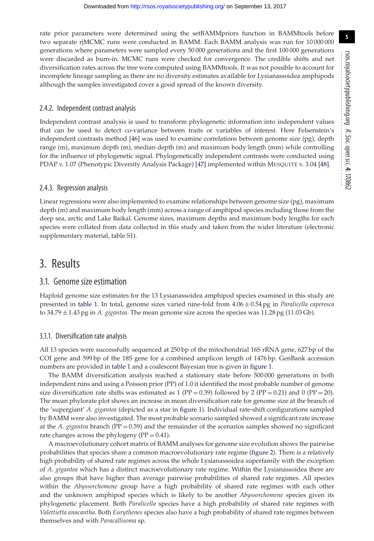rate prior parameters were determined using the setBAMMpriors function in BAMMtools before two separate rjMCMC runs were conducted in BAMM. Each BAMM analysis was run for 10 000 000 generations where parameters were sampled every 50 000 generations and the first 100 000 generations were discarded as burn-in. MCMC runs were checked for convergence. The credible shifts and net diversification rates across the tree were computed using BAMMtools. It was not possible to account for incomplete lineage sampling as there are no diversity estimates available for Lysianassoidea amphipods although the samples investigated cover a good spread of the known diversity.

#### 2.4.2. Independent contrast analysis

Independent contrast analysis is used to transform phylogenetic information into independent values that can be used to detect co-variance between traits or variables of interest. Here Felsenstein's independent contrasts method [\[46\]](#page-8-32) was used to examine correlations between genome size (pg), depth range (m), maximum depth (m), median depth (m) and maximum body length (mm) while controlling for the influence of phylogenetic signal. Phylogenetically independent contrasts were conducted using PDAP v. 1.07 (Phenotypic Diversity Analysis Package) [\[47\]](#page-8-33) implemented within MESQUITE v. 3.04 [\[48\]](#page-8-34).

#### 2.4.3. Regression analysis

Linear regressions were also implemented to examine relationships between genome size (pg), maximum depth (m) and maximum body length (mm) across a range of amphipod species including those from the deep sea, arctic and Lake Baikal. Genome sizes, maximum depths and maximum body lengths for each species were collated from data collected in this study and taken from the wider literature (electronic supplementary material, table S1).

### 3. Results

#### 3.1. Genome size estimation

Haploid genome size estimates for the 13 Lysianassoidea amphipod species examined in this study are presented in [table 1.](#page-3-0) In total, genome sizes varied nine-fold from 4.06 ± 0.54 pg in *Paralicella caperesca* to 34.79 ± 1.43 pg in *A. gigantea*. The mean genome size across the species was 11.28 pg (11.03 Gb).

#### 3.1.1. Diversification rate analysis

All 13 species were successfully sequenced at 250 bp of the mitochondrial 16S rRNA gene, 627 bp of the COI gene and 599 bp of the 18S gene for a combined amplicon length of 1476 bp. GenBank accession numbers are provided in [table 1](#page-3-0) and a coalescent Bayesian tree is given in [figure 1.](#page-5-0)

The BAMM diversification analysis reached a stationary state before 500 000 generations in both independent runs and using a Poisson prior (PP) of 1.0 it identified the most probable number of genome size diversification rate shifts was estimated as 1 (PP = 0.39) followed by 2 (PP = 0.21) and 0 (PP = 20). The mean phylorate plot shows an increase in mean diversification rate for genome size at the branch of the 'supergiant' *A. gigantea* (depicted as a star in [figure 1\)](#page-5-0). Individual rate-shift configurations sampled by BAMM were also investigated. The most probable scenario sampled showed a significant rate increase at the *A. gigantea* branch (PP = 0.59) and the remainder of the scenarios samples showed no significant rate changes across the phylogeny ( $PP = 0.41$ ).

A macroevolutionary cohort matrix of BAMM analyses for genome size evolution shows the pairwise probabilities that species share a common macroevolutionary rate regime [\(figure 2\)](#page-5-1). There is a relatively high probability of shared rate regimes across the whole Lysianassoidea superfamily with the exception of *A. gigantea* which has a distinct macroevolutionary rate regime. Within the Lysianassoidea there are also groups that have higher than average pairwise probabilities of shared rate regimes. All species within the *Abyssorchomene* group have a high probability of shared rate regimes with each other and the unknown amphipod species which is likely to be another *Abyssorchomene* species given its phylogenetic placement. Both *Paralicella* species have a high probability of shared rate regimes with *Valettietta anacantha*. Both *Eurythenes* species also have a high probability of shared rate regimes between themselves and with *Paracallisoma* sp.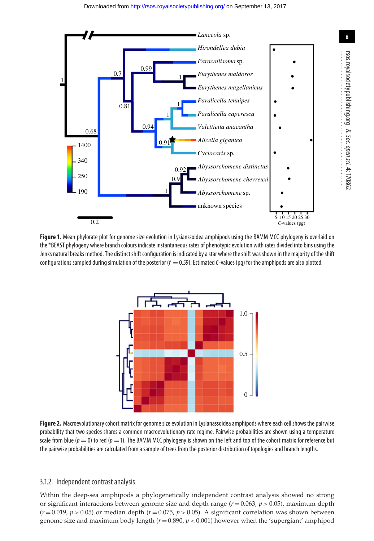<span id="page-5-0"></span>

<span id="page-5-1"></span>**Figure 1.** Mean phylorate plot for genome size evolution in Lysianssoidea amphipods using the BAMM MCC phylogeny is overlaid on the \*BEAST phylogeny where branch colours indicate instantaneous rates of phenotypic evolution with rates divided into bins using the Jenks natural breaks method. The distinct shift configuration is indicated by a star where the shift was shown in the majority of the shift configurations sampled during simulation of the posterior ( $f = 0.59$ ). Estimated C-values (pq) for the amphipods are also plotted.



**Figure 2.** Macroevolutionary cohort matrix for genome size evolution in Lysianassoidea amphipods where each cell shows the pairwise probability that two species shares a common macroevolutionary rate regime. Pairwise probabilities are shown using a temperature scale from blue ( $p = 0$ ) to red ( $p = 1$ ). The BAMM MCC phylogeny is shown on the left and top of the cohort matrix for reference but the pairwise probabilities are calculated from a sample of trees from the posterior distribution of topologies and branch lengths.

#### 3.1.2. Independent contrast analysis

Within the deep-sea amphipods a phylogenetically independent contrast analysis showed no strong or significant interactions between genome size and depth range  $(r = 0.063, p > 0.05)$ , maximum depth  $(r=0.019, p>0.05)$  or median depth  $(r=0.075, p>0.05)$ . A significant correlation was shown between genome size and maximum body length (*r* = 0.890, *p <* 0.001) however when the 'supergiant' amphipod *R. Soc.*

 *open*

 *sci.* **4**: 170862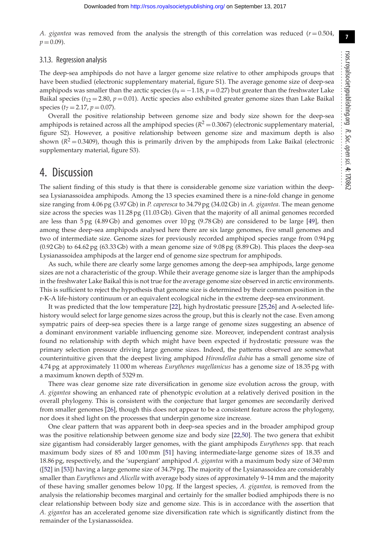*A. gigantea* was removed from the analysis the strength of this correlation was reduced  $(r = 0.504,$  $p = 0.09$ ).

#### 3.1.3. Regression analysis

The deep-sea amphipods do not have a larger genome size relative to other amphipods groups that have been studied (electronic supplementary material, figure S1). The average genome size of deep-sea amphipods was smaller than the arctic species ( $t_9 = -1.18$ ,  $p = 0.27$ ) but greater than the freshwater Lake Baikal species ( $t_{12} = 2.80$ ,  $p = 0.01$ ). Arctic species also exhibited greater genome sizes than Lake Baikal species  $(t_7 = 2.17, p = 0.07)$ .

Overall the positive relationship between genome size and body size shown for the deep-sea amphipods is retained across all the amphipod species  $(R^2 = 0.3067)$  (electronic supplementary material, figure S2). However, a positive relationship between genome size and maximum depth is also shown  $(R^2 = 0.3409)$ , though this is primarily driven by the amphipods from Lake Baikal (electronic supplementary material, figure S3).

### 4. Discussion

The salient finding of this study is that there is considerable genome size variation within the deepsea Lysianassoidea amphipods. Among the 13 species examined there is a nine-fold change in genome size ranging from 4.06 pg (3.97 Gb) in *P. caperesca* to 34.79 pg (34.02 Gb) in *A. gigantea*. The mean genome size across the species was 11.28 pg (11.03 Gb). Given that the majority of all animal genomes recorded are less than 5 pg (4.89 Gb) and genomes over 10 pg (9.78 Gb) are considered to be large [\[49\]](#page-8-35), then among these deep-sea amphipods analysed here there are six large genomes, five small genomes and two of intermediate size. Genome sizes for previously recorded amphipod species range from 0.94 pg (0.92 Gb) to 64.62 pg (63.33 Gb) with a mean genome size of 9.08 pg (8.89 Gb). This places the deep-sea Lysianassoidea amphipods at the larger end of genome size spectrum for amphipods.

As such, while there are clearly some large genomes among the deep-sea amphipods, large genome sizes are not a characteristic of the group. While their average genome size is larger than the amphipods in the freshwater Lake Baikal this is not true for the average genome size observed in arctic environments. This is sufficient to reject the hypothesis that genome size is determined by their common position in the r-K-A life-history continuum or an equivalent ecological niche in the extreme deep-sea environment.

It was predicted that the low temperature [\[22\]](#page-8-9), high hydrostatic pressure [\[25](#page-8-12)[,26\]](#page-8-13) and A-selected lifehistory would select for large genome sizes across the group, but this is clearly not the case. Even among sympatric pairs of deep-sea species there is a large range of genome sizes suggesting an absence of a dominant environment variable influencing genome size. Moreover, independent contrast analysis found no relationship with depth which might have been expected if hydrostatic pressure was the primary selection pressure driving large genome sizes. Indeed, the patterns observed are somewhat counterintuitive given that the deepest living amphipod *Hirondellea dubia* has a small genome size of 4.74 pg at approximately 11 000 m whereas *Eurythenes magellanicus* has a genome size of 18.35 pg with a maximum known depth of 5329 m.

There was clear genome size rate diversification in genome size evolution across the group, with *A. gigantea* showing an enhanced rate of phenotypic evolution at a relatively derived position in the overall phylogeny. This is consistent with the conjecture that larger genomes are secondarily derived from smaller genomes [\[26\]](#page-8-13), though this does not appear to be a consistent feature across the phylogeny, nor does it shed light on the processes that underpin genome size increase.

One clear pattern that was apparent both in deep-sea species and in the broader amphipod group was the positive relationship between genome size and body size [\[22,](#page-8-9)[50\]](#page-8-36). The two genera that exhibit size gigantism had considerably larger genomes, with the giant amphipods *Eurythenes* spp. that reach maximum body sizes of 85 and 100 mm [\[51\]](#page-8-37) having intermediate-large genome sizes of 18.35 and 18.86 pg, respectively, and the 'supergiant' amphipod *A. gigantea* with a maximum body size of 340 mm ([\[52\]](#page-8-38) in [\[53\]](#page-8-39)) having a large genome size of 34.79 pg. The majority of the Lysianassoidea are considerably smaller than *Eurythenes* and *Alicella* with average body sizes of approximately 9–14 mm and the majority of these having smaller genomes below 10 pg. If the largest species, *A. gigantea,* is removed from the analysis the relationship becomes marginal and certainly for the smaller bodied amphipods there is no clear relationship between body size and genome size. This is in accordance with the assertion that *A. gigantea* has an accelerated genome size diversification rate which is significantly distinct from the remainder of the Lysianassoidea.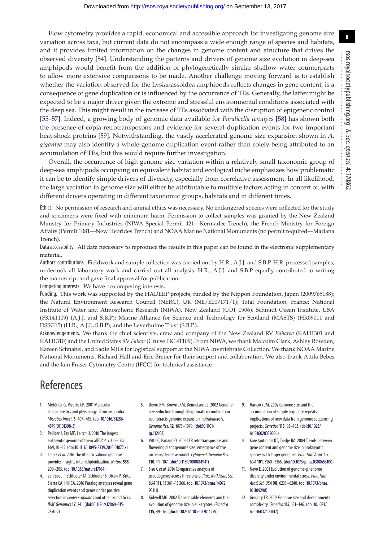Flow cytometry provides a rapid, economical and accessible approach for investigating genome size variation across taxa, but current data do not encompass a wide enough range of species and habitats, and it provides limited information on the changes in genome content and structure that drives the observed diversity [\[54\]](#page-8-40). Understanding the patterns and drivers of genome size evolution in deep-sea amphipods would benefit from the addition of phylogenetically similar shallow water counterparts to allow more extensive comparisons to be made. Another challenge moving forward is to establish whether the variation observed for the Lysianassoidea amphipods reflects changes in gene content, is a consequence of gene duplication or is influenced by the occurrence of TEs. Generally, the latter might be expected to be a major driver given the extreme and stressful environmental conditions associated with the deep sea. This might result in the increase of TEs associated with the disruption of epigenetic control [\[55](#page-8-41)[–57\]](#page-8-42). Indeed, a growing body of genomic data available for *Paralicella tenuipes* [\[58\]](#page-8-43) has shown both the presence of copia retrotransposons and evidence for several duplication events for two important heat-shock proteins [\[59\]](#page-8-44). Notwithstanding, the vastly accelerated genome size expansion shown in *A. gigantea* may also identify a whole-genome duplication event rather than solely being attributed to an accumulation of TEs, but this would require further investigation.

Overall, the occurrence of high genome size variation within a relatively small taxonomic group of deep-sea amphipods occupying an equivalent habitat and ecological niche emphasizes how problematic it can be to identify simple drivers of diversity, especially from correlative assessment. In all likelihood, the large variation in genome size will either be attributable to multiple factors acting in concert or, with different drivers operating in different taxonomic groups, habitats and in different times.

Ethics. No permission of research and animal ethics was necessary. No endangered species were collected for the study and specimens were fixed with minimum harm. Permission to collect samples was granted by the New Zealand Ministry for Primary Industries (NIWA Special Permit 421—Kermadec Trench), the French Ministry for Foreign Affairs (Permit 1081—New Hebrides Trench) and NOAA Marine National Monuments (no permit required—Mariana Trench).

Data accessibility. All data necessary to reproduce the results in this paper can be found in the electronic supplementary material.

Authors' contributions. Fieldwork and sample collection was carried out by H.R., A.J.J. and S.B.P. H.R. processed samples, undertook all laboratory work and carried out all analysis. H.R., A.J.J. and S.B.P equally contributed to writing the manuscript and gave final approval for publication.

Competing interests. We have no competing interests.

Funding. This work was supported by the HADEEP projects, funded by the Nippon Foundation, Japan (2009765188); the Natural Environment Research Council (NERC), UK (NE/E007171/1); Total Foundation, France; National Institute of Water and Atmospheric Research (NIWA), New Zealand (CO1\_0906); Schmidt Ocean Institute, USA (FK141109) (A.J.J. and S.B.P); Marine Alliance for Science and Technology for Scotland (MASTS) (HR09011 and DSSG15) (H.R., A.J.J., S.B.P); and the Leverhulme Trust (S.B.P.).

Acknowledgements. We thank the chief scientists, crew and company of the New Zealand RV *Kaharoa* (KAH1301 and KAH1310) and the United States RV *Falkor* (Cruise FK141109). From NIWA, we thank Malcolm Clark, Ashley Rowden, Kareen Schnabel, and Sadie Mills for logistical support at the NIWA Invertebrate Collection. We thank NOAA Marine National Monuments, Richard Hall and Eric Breuer for their support and collaboration. We also thank Attila Bebes and the Iain Fraser Cytometry Centre (IFCC) for technical assistance.

# References

- <span id="page-7-0"></span>1. Méténier G, Vivarès CP. 2001 Molecular characteristics and physiology of microsporidia. *Microbes Infect.***3**, 407–415. [\(doi:10.1016/S1286-](http://dx.doi.org/10.1016/S1286-4579(01)01398-3) [4579\(01\)01398-3\)](http://dx.doi.org/10.1016/S1286-4579(01)01398-3)
- <span id="page-7-1"></span>2. Pellicer J, Fay MF, Leitch IJ. 2010 The largest eukaryotic genome of them all? *Bot. J. Linn. Soc.* **164**, 10–15. [\(doi:10.1111/j.1095-8339.2010.01072.x\)](http://dx.doi.org/10.1111/j.1095-8339.2010.01072.x)
- <span id="page-7-2"></span>3. Lien S*et al.*2016 The Atlantic salmon genome provides insights into rediploidization. *Nature***533**, 200–205. [\(doi:10.1038/nature17164\)](http://dx.doi.org/10.1038/nature17164)
- <span id="page-7-3"></span>4. van Zee JP, Schlueter JA, Schlueter S, Dixon P, Brito Sierra CA, Hill CA. 2016 Paralog analyses reveal gene duplication events and genes under positive selection in *Ixodes scapularis*and other ixodid ticks. *BMC Genomics***17**, 241. [\(doi:10.1186/s12864-015-](http://dx.doi.org/10.1186/s12864-015-2350-2) [2350-2\)](http://dx.doi.org/10.1186/s12864-015-2350-2)
- <span id="page-7-4"></span>5. Devos KM, Brown JKM, Bennetzen JL. 2002 Genome size reduction through illegitimate recombination counteracts genome expansion in *Arabidopsis*. *Genome Res.***12**, 1075–1079. [\(doi:10.1101/](http://dx.doi.org/10.1101/gr.132102) [gr.132102\)](http://dx.doi.org/10.1101/gr.132102)
- <span id="page-7-5"></span>6. Vitte C, Panaud O. 2005 LTR retrotransposons and flowering plant genome size: emergence of the increase/decrease model.*Cytogenet. Genome Res.* **110**, 91–107. [\(doi:10.1159/000084941\)](http://dx.doi.org/10.1159/000084941)
- <span id="page-7-6"></span>7. Sisu C*et al.*2014 Comparative analysis of pseudogenes across three phyla.*Proc. Natl Acad. Sci. USA* **111**, 13 361–13 366. [\(doi:10.1073/pnas.14072](http://dx.doi.org/10.1073/pnas.1407293111) [93111\)](http://dx.doi.org/10.1073/pnas.1407293111)
- <span id="page-7-7"></span>8. Kidwell MG. 2002 Transposable elements and the evolution of genome size in eukaryotes. *Genetica* **115**, 49–63. [\(doi:10.1023/A:1016072014259\)](http://dx.doi.org/10.1023/A:1016072014259)
- <span id="page-7-8"></span>9. Hancock JM. 2002 Genome size and the accumulation of simple sequence repeats: implications of new data from genome sequencing projects. *Genetica***115**, 93–103. [\(doi:10.1023/](http://dx.doi.org/10.1023/A:1016028332006) [A:1016028332006\)](http://dx.doi.org/10.1023/A:1016028332006)
- <span id="page-7-9"></span>10. Konstantinidis KT, Tiedje JM. 2004 Trends between gene content and genome size in prokaryotic species with larger genomes.*Proc. Natl Acad. Sci. USA* **101**, 3160–3165. [\(doi:10.1073/pnas.0308653100\)](http://dx.doi.org/10.1073/pnas.0308653100)
- <span id="page-7-10"></span>11. Nevo E. 2001 Evolution of genome-phenome diversity under environmental stress.*Proc. Natl Acad. Sci. USA* **98**, 6233–6240. [\(doi:10.1073/pnas.](http://dx.doi.org/10.1073/pnas.101109298) [101109298\)](http://dx.doi.org/10.1073/pnas.101109298)
- <span id="page-7-11"></span>12. Gregory TR. 2002 Genome size and developmental complexity. *Genetica***115**, 131–146. [\(doi:10.1023/](http://dx.doi.org/10.1023/A:1016032400147) [A:1016032400147\)](http://dx.doi.org/10.1023/A:1016032400147)